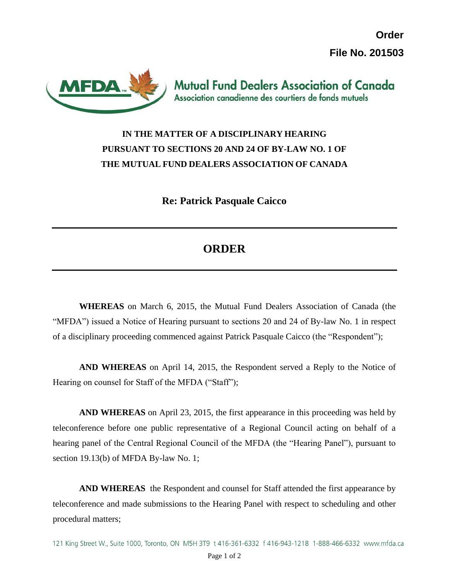**Order File No. 201503**



## **IN THE MATTER OF A DISCIPLINARY HEARING PURSUANT TO SECTIONS 20 AND 24 OF BY-LAW NO. 1 OF THE MUTUAL FUND DEALERS ASSOCIATION OF CANADA**

**Re: Patrick Pasquale Caicco**

## **ORDER**

**WHEREAS** on March 6, 2015, the Mutual Fund Dealers Association of Canada (the "MFDA") issued a Notice of Hearing pursuant to sections 20 and 24 of By-law No. 1 in respect of a disciplinary proceeding commenced against Patrick Pasquale Caicco (the "Respondent");

**AND WHEREAS** on April 14, 2015, the Respondent served a Reply to the Notice of Hearing on counsel for Staff of the MFDA ("Staff");

**AND WHEREAS** on April 23, 2015, the first appearance in this proceeding was held by teleconference before one public representative of a Regional Council acting on behalf of a hearing panel of the Central Regional Council of the MFDA (the "Hearing Panel"), pursuant to section 19.13(b) of MFDA By-law No. 1;

**AND WHEREAS** the Respondent and counsel for Staff attended the first appearance by teleconference and made submissions to the Hearing Panel with respect to scheduling and other procedural matters;